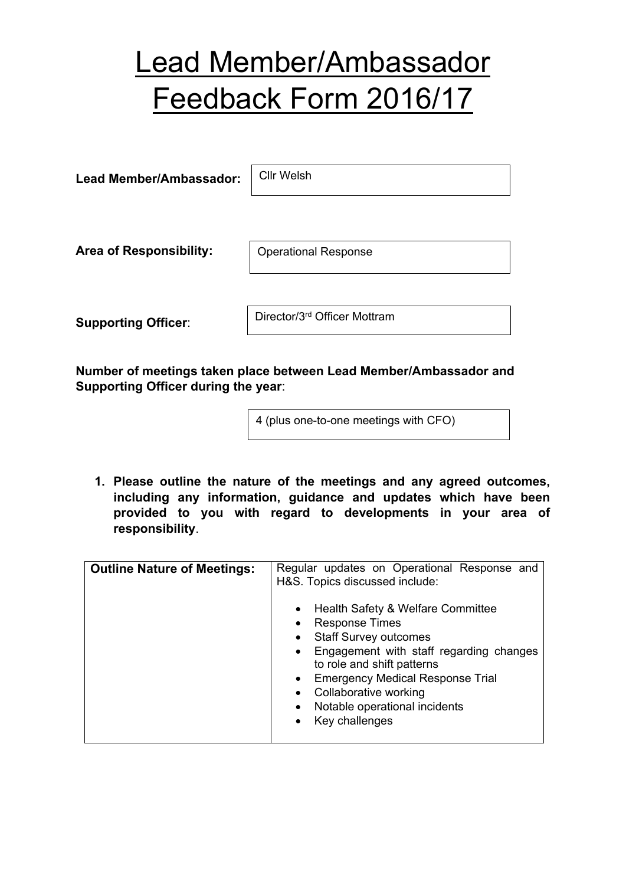## Lead Member/Ambassador Feedback Form 2016/17

**Lead Member/Ambassador:**

Cllr Welsh

**Area of Responsibility:**

Operational Response

**Supporting Officer**:

Director/3rd Officer Mottram

**Number of meetings taken place between Lead Member/Ambassador and Supporting Officer during the year**:

4 (plus one-to-one meetings with CFO)

**1. Please outline the nature of the meetings and any agreed outcomes, including any information, guidance and updates which have been provided to you with regard to developments in your area of responsibility**.

| <b>Outline Nature of Meetings:</b> | Regular updates on Operational Response and<br>H&S. Topics discussed include: |
|------------------------------------|-------------------------------------------------------------------------------|
|                                    | • Health Safety & Welfare Committee                                           |
|                                    | <b>Response Times</b>                                                         |
|                                    | • Staff Survey outcomes                                                       |
|                                    | Engagement with staff regarding changes<br>to role and shift patterns         |
|                                    | <b>Emergency Medical Response Trial</b>                                       |
|                                    | Collaborative working                                                         |
|                                    | Notable operational incidents                                                 |
|                                    | Key challenges                                                                |
|                                    |                                                                               |